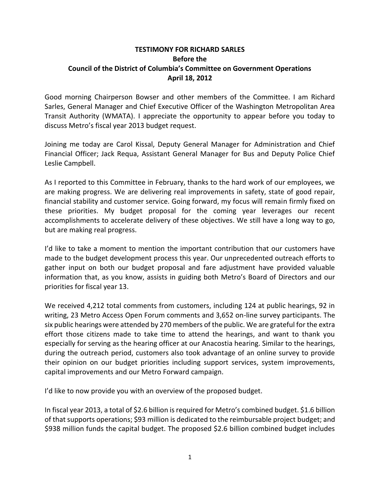## **TESTIMONY FOR RICHARD SARLES Before the Council of the District of Columbia's Committee on Government Operations April 18, 2012**

Good morning Chairperson Bowser and other members of the Committee. I am Richard Sarles, General Manager and Chief Executive Officer of the Washington Metropolitan Area Transit Authority (WMATA). I appreciate the opportunity to appear before you today to discuss Metro's fiscal year 2013 budget request.

Joining me today are Carol Kissal, Deputy General Manager for Administration and Chief Financial Officer; Jack Requa, Assistant General Manager for Bus and Deputy Police Chief Leslie Campbell.

As I reported to this Committee in February, thanks to the hard work of our employees, we are making progress. We are delivering real improvements in safety, state of good repair, financial stability and customer service. Going forward, my focus will remain firmly fixed on these priorities. My budget proposal for the coming year leverages our recent accomplishments to accelerate delivery of these objectives. We still have a long way to go, but are making real progress.

I'd like to take a moment to mention the important contribution that our customers have made to the budget development process this year. Our unprecedented outreach efforts to gather input on both our budget proposal and fare adjustment have provided valuable information that, as you know, assists in guiding both Metro's Board of Directors and our priorities for fiscal year 13.

We received 4,212 total comments from customers, including 124 at public hearings, 92 in writing, 23 Metro Access Open Forum comments and 3,652 on-line survey participants. The six public hearings were attended by 270 members of the public. We are grateful for the extra effort those citizens made to take time to attend the hearings, and want to thank you especially for serving as the hearing officer at our Anacostia hearing. Similar to the hearings, during the outreach period, customers also took advantage of an online survey to provide their opinion on our budget priorities including support services, system improvements, capital improvements and our Metro Forward campaign.

I'd like to now provide you with an overview of the proposed budget.

In fiscal year 2013, a total of \$2.6 billion is required for Metro's combined budget. \$1.6 billion of that supports operations; \$93 million is dedicated to the reimbursable project budget; and \$938 million funds the capital budget. The proposed \$2.6 billion combined budget includes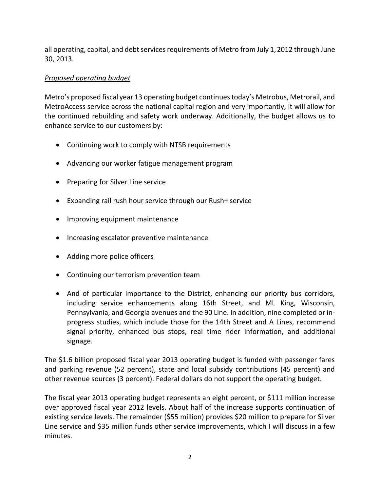all operating, capital, and debt services requirements of Metro from July 1,2012 through June 30, 2013.

## *Proposed operating budget*

Metro's proposed fiscal year 13 operating budget continues today's Metrobus, Metrorail, and MetroAccess service across the national capital region and very importantly, it will allow for the continued rebuilding and safety work underway. Additionally, the budget allows us to enhance service to our customers by:

- Continuing work to comply with NTSB requirements
- Advancing our worker fatigue management program
- Preparing for Silver Line service
- Expanding rail rush hour service through our Rush+ service
- Improving equipment maintenance
- Increasing escalator preventive maintenance
- Adding more police officers
- Continuing our terrorism prevention team
- And of particular importance to the District, enhancing our priority bus corridors, including service enhancements along 16th Street, and ML King, Wisconsin, Pennsylvania, and Georgia avenues and the 90 Line. In addition, nine completed or inprogress studies, which include those for the 14th Street and A Lines, recommend signal priority, enhanced bus stops, real time rider information, and additional signage.

The \$1.6 billion proposed fiscal year 2013 operating budget is funded with passenger fares and parking revenue (52 percent), state and local subsidy contributions (45 percent) and other revenue sources (3 percent). Federal dollars do not support the operating budget.

The fiscal year 2013 operating budget represents an eight percent, or \$111 million increase over approved fiscal year 2012 levels. About half of the increase supports continuation of existing service levels. The remainder (\$55 million) provides \$20 million to prepare for Silver Line service and \$35 million funds other service improvements, which I will discuss in a few minutes.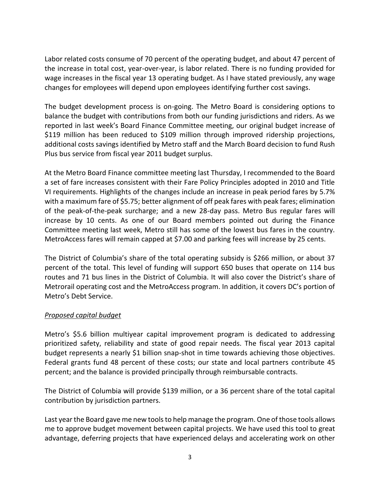Labor related costs consume of 70 percent of the operating budget, and about 47 percent of the increase in total cost, year-over-year, is labor related. There is no funding provided for wage increases in the fiscal year 13 operating budget. As I have stated previously, any wage changes for employees will depend upon employees identifying further cost savings.

The budget development process is on-going. The Metro Board is considering options to balance the budget with contributions from both our funding jurisdictions and riders. As we reported in last week's Board Finance Committee meeting, our original budget increase of \$119 million has been reduced to \$109 million through improved ridership projections, additional costs savings identified by Metro staff and the March Board decision to fund Rush Plus bus service from fiscal year 2011 budget surplus.

At the Metro Board Finance committee meeting last Thursday, I recommended to the Board a set of fare increases consistent with their Fare Policy Principles adopted in 2010 and Title VI requirements. Highlights of the changes include an increase in peak period fares by 5.7% with a maximum fare of \$5.75; better alignment of off peak fares with peak fares; elimination of the peak-of-the-peak surcharge; and a new 28-day pass. Metro Bus regular fares will increase by 10 cents. As one of our Board members pointed out during the Finance Committee meeting last week, Metro still has some of the lowest bus fares in the country. MetroAccess fares will remain capped at \$7.00 and parking fees will increase by 25 cents.

The District of Columbia's share of the total operating subsidy is \$266 million, or about 37 percent of the total. This level of funding will support 650 buses that operate on 114 bus routes and 71 bus lines in the District of Columbia. It will also cover the District's share of Metrorail operating cost and the MetroAccess program. In addition, it covers DC's portion of Metro's Debt Service.

## *Proposed capital budget*

Metro's \$5.6 billion multiyear capital improvement program is dedicated to addressing prioritized safety, reliability and state of good repair needs. The fiscal year 2013 capital budget represents a nearly \$1 billion snap-shot in time towards achieving those objectives. Federal grants fund 48 percent of these costs; our state and local partners contribute 45 percent; and the balance is provided principally through reimbursable contracts.

The District of Columbia will provide \$139 million, or a 36 percent share of the total capital contribution by jurisdiction partners.

Last year the Board gave me new tools to help manage the program. One of those tools allows me to approve budget movement between capital projects. We have used this tool to great advantage, deferring projects that have experienced delays and accelerating work on other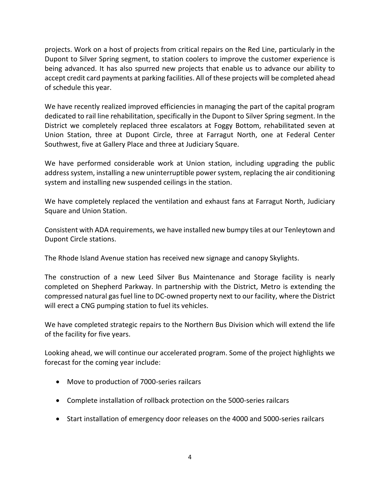projects. Work on a host of projects from critical repairs on the Red Line, particularly in the Dupont to Silver Spring segment, to station coolers to improve the customer experience is being advanced. It has also spurred new projects that enable us to advance our ability to accept credit card payments at parking facilities. All of these projects will be completed ahead of schedule this year.

We have recently realized improved efficiencies in managing the part of the capital program dedicated to rail line rehabilitation, specifically in the Dupont to Silver Spring segment. In the District we completely replaced three escalators at Foggy Bottom, rehabilitated seven at Union Station, three at Dupont Circle, three at Farragut North, one at Federal Center Southwest, five at Gallery Place and three at Judiciary Square.

We have performed considerable work at Union station, including upgrading the public address system, installing a new uninterruptible power system, replacing the air conditioning system and installing new suspended ceilings in the station.

We have completely replaced the ventilation and exhaust fans at Farragut North, Judiciary Square and Union Station.

Consistent with ADA requirements, we have installed new bumpy tiles at our Tenleytown and Dupont Circle stations.

The Rhode Island Avenue station has received new signage and canopy Skylights.

The construction of a new Leed Silver Bus Maintenance and Storage facility is nearly completed on Shepherd Parkway. In partnership with the District, Metro is extending the compressed natural gas fuel line to DC-owned property next to our facility, where the District will erect a CNG pumping station to fuel its vehicles.

We have completed strategic repairs to the Northern Bus Division which will extend the life of the facility for five years.

Looking ahead, we will continue our accelerated program. Some of the project highlights we forecast for the coming year include:

- Move to production of 7000-series railcars
- Complete installation of rollback protection on the 5000-series railcars
- Start installation of emergency door releases on the 4000 and 5000-series railcars